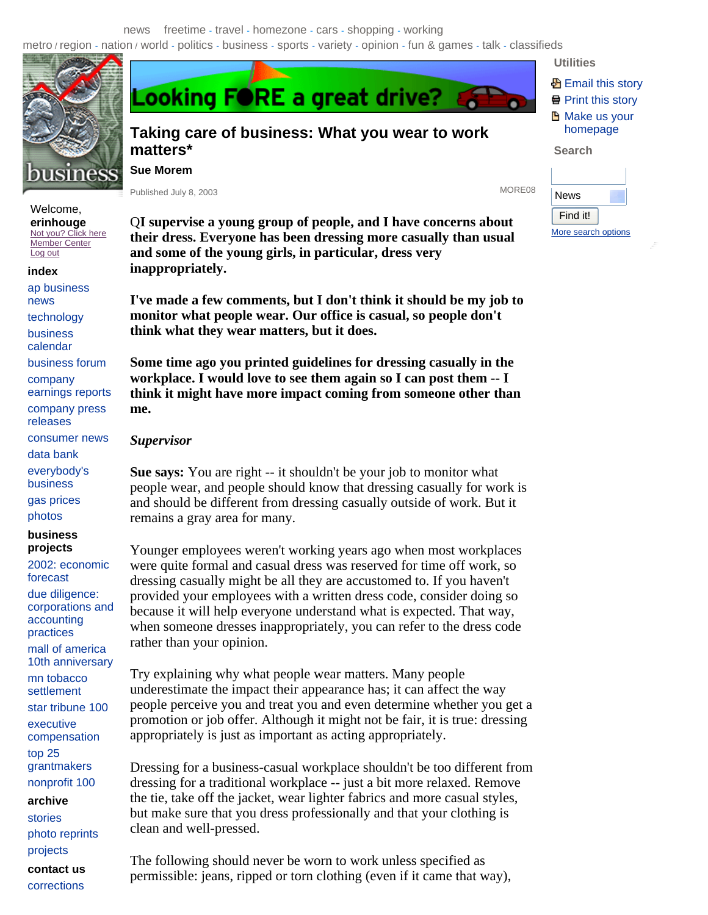## news freetime - travel - homezone - cars - shopping - working

**Looking FORE a great drive?** 

metro / region - nation / world - politics - business - sports - variety - opinion - fun & games - talk - classifieds



# **Taking care of business: What you wear to work matters\***

**Sue Morem**

Published July 8, 2003 MORE08

**Utilities 图 Email this story** Print this story **Make us your** homepage **Search** 

More search options

News Find it!

| ublished July 8, 2003 |  |  |  |
|-----------------------|--|--|--|
|-----------------------|--|--|--|

Q**I supervise a young group of people, and I have concerns about their dress. Everyone has been dressing more casually than usual and some of the young girls, in particular, dress very inappropriately.**

**I've made a few comments, but I don't think it should be my job to monitor what people wear. Our office is casual, so people don't think what they wear matters, but it does.**

**Some time ago you printed guidelines for dressing casually in the workplace. I would love to see them again so I can post them -- I think it might have more impact coming from someone other than me.**

### *Supervisor*

**Sue says:** You are right -- it shouldn't be your job to monitor what people wear, and people should know that dressing casually for work is and should be different from dressing casually outside of work. But it remains a gray area for many.

Younger employees weren't working years ago when most workplaces were quite formal and casual dress was reserved for time off work, so dressing casually might be all they are accustomed to. If you haven't provided your employees with a written dress code, consider doing so because it will help everyone understand what is expected. That way, when someone dresses inappropriately, you can refer to the dress code rather than your opinion.

Try explaining why what people wear matters. Many people underestimate the impact their appearance has; it can affect the way people perceive you and treat you and even determine whether you get a promotion or job offer. Although it might not be fair, it is true: dressing appropriately is just as important as acting appropriately.

Dressing for a business-casual workplace shouldn't be too different from dressing for a traditional workplace -- just a bit more relaxed. Remove the tie, take off the jacket, wear lighter fabrics and more casual styles, but make sure that you dress professionally and that your clothing is clean and well-pressed.

The following should never be worn to work unless specified as permissible: jeans, ripped or torn clothing (even if it came that way),

## Log out **index**

Welcome, **erinhouge**  Not you? Click here Member Center

ap business news technology business calendar business forum company earnings reports company press releases consumer news data bank everybody's business gas prices

photos

### **business projects**

## 2002: economic forecast

due diligence: corporations and accounting practices

mall of america 10th anniversary

mn tobacco settlement

star tribune 100 executive

compensation

top 25 grantmakers

nonprofit 100

**archive** 

stories photo reprints

projects

**contact us** 

corrections